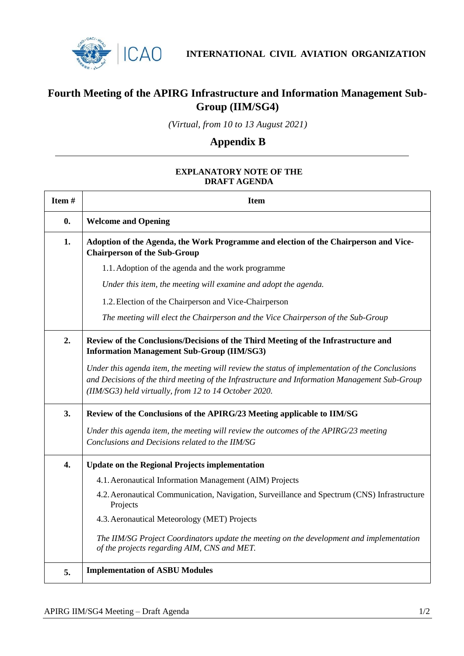

**INTERNATIONAL CIVIL AVIATION ORGANIZATION**

## **Fourth Meeting of the APIRG Infrastructure and Information Management Sub-Group (IIM/SG4)**

*(Virtual, from 10 to 13 August 2021)*

## **Appendix B**

## **EXPLANATORY NOTE OF THE DRAFT AGENDA**

| Item#              | <b>Item</b>                                                                                                                                                                                                                                               |
|--------------------|-----------------------------------------------------------------------------------------------------------------------------------------------------------------------------------------------------------------------------------------------------------|
| $\boldsymbol{0}$ . | <b>Welcome and Opening</b>                                                                                                                                                                                                                                |
| 1.                 | Adoption of the Agenda, the Work Programme and election of the Chairperson and Vice-<br><b>Chairperson of the Sub-Group</b>                                                                                                                               |
|                    | 1.1. Adoption of the agenda and the work programme                                                                                                                                                                                                        |
|                    | Under this item, the meeting will examine and adopt the agenda.                                                                                                                                                                                           |
|                    | 1.2. Election of the Chairperson and Vice-Chairperson                                                                                                                                                                                                     |
|                    | The meeting will elect the Chairperson and the Vice Chairperson of the Sub-Group                                                                                                                                                                          |
| 2.                 | Review of the Conclusions/Decisions of the Third Meeting of the Infrastructure and<br><b>Information Management Sub-Group (IIM/SG3)</b>                                                                                                                   |
|                    | Under this agenda item, the meeting will review the status of implementation of the Conclusions<br>and Decisions of the third meeting of the Infrastructure and Information Management Sub-Group<br>(IIM/SG3) held virtually, from 12 to 14 October 2020. |
| 3.                 | Review of the Conclusions of the APIRG/23 Meeting applicable to IIM/SG                                                                                                                                                                                    |
|                    | Under this agenda item, the meeting will review the outcomes of the APIRG/23 meeting<br>Conclusions and Decisions related to the IIM/SG                                                                                                                   |
| 4.                 | <b>Update on the Regional Projects implementation</b>                                                                                                                                                                                                     |
|                    | 4.1. Aeronautical Information Management (AIM) Projects                                                                                                                                                                                                   |
|                    | 4.2. Aeronautical Communication, Navigation, Surveillance and Spectrum (CNS) Infrastructure<br>Projects                                                                                                                                                   |
|                    | 4.3. Aeronautical Meteorology (MET) Projects                                                                                                                                                                                                              |
|                    | The IIM/SG Project Coordinators update the meeting on the development and implementation<br>of the projects regarding AIM, CNS and MET.                                                                                                                   |
| 5.                 | <b>Implementation of ASBU Modules</b>                                                                                                                                                                                                                     |